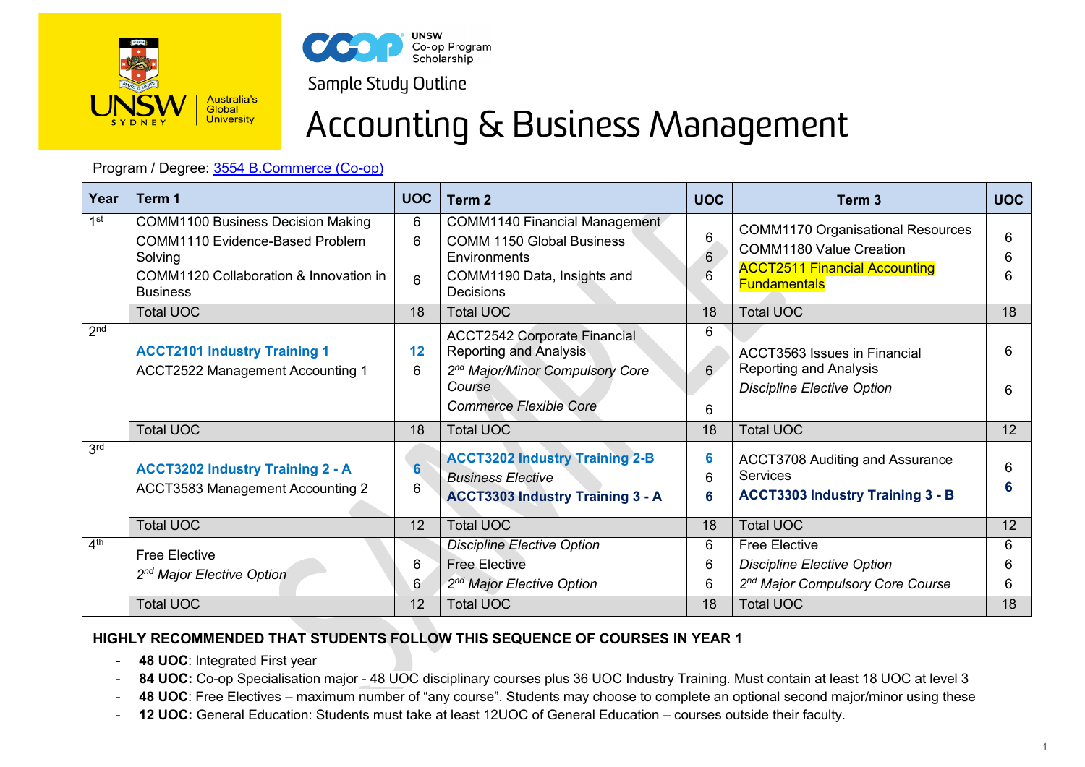

**UNSW** Co-op Program<br>Scholarship



# Accounting & Business Management

## Program / Degree: [3554 B.Commerce \(Co-op\)](https://www.handbook.unsw.edu.au/undergraduate/programs/2022/3554)

| Year            | Term 1                                                                                                                                              | <b>UOC</b>  | Term 2                                                                                                                                                         | <b>UOC</b>                            | Term <sub>3</sub>                                                                                                                         | <b>UOC</b>  |
|-----------------|-----------------------------------------------------------------------------------------------------------------------------------------------------|-------------|----------------------------------------------------------------------------------------------------------------------------------------------------------------|---------------------------------------|-------------------------------------------------------------------------------------------------------------------------------------------|-------------|
| 1 <sup>st</sup> | <b>COMM1100 Business Decision Making</b><br>COMM1110 Evidence-Based Problem<br>Solving<br>COMM1120 Collaboration & Innovation in<br><b>Business</b> | 6<br>6<br>6 | COMM1140 Financial Management<br><b>COMM 1150 Global Business</b><br>Environments<br>COMM1190 Data, Insights and<br>Decisions                                  | 6 <sub>1</sub><br>$6\phantom{a}$<br>6 | <b>COMM1170 Organisational Resources</b><br><b>COMM1180 Value Creation</b><br><b>ACCT2511 Financial Accounting</b><br><b>Fundamentals</b> | 6<br>6<br>6 |
|                 | <b>Total UOC</b>                                                                                                                                    | 18          | <b>Total UOC</b>                                                                                                                                               | 18                                    | <b>Total UOC</b>                                                                                                                          | 18          |
| 2 <sub>nd</sub> | <b>ACCT2101 Industry Training 1</b><br><b>ACCT2522 Management Accounting 1</b>                                                                      | 12<br>6     | <b>ACCT2542 Corporate Financial</b><br><b>Reporting and Analysis</b><br>2 <sup>nd</sup> Major/Minor Compulsory Core<br>Course<br><b>Commerce Flexible Core</b> | 6<br>6 <sup>1</sup><br>6              | <b>ACCT3563</b> Issues in Financial<br><b>Reporting and Analysis</b><br><b>Discipline Elective Option</b>                                 | 6<br>6      |
|                 | <b>Total UOC</b>                                                                                                                                    | 18          | <b>Total UOC</b>                                                                                                                                               | 18                                    | <b>Total UOC</b>                                                                                                                          | 12          |
| 3 <sup>rd</sup> | <b>ACCT3202 Industry Training 2 - A</b><br>ACCT3583 Management Accounting 2                                                                         | 6<br>6      | <b>ACCT3202 Industry Training 2-B</b><br><b>Business Elective</b><br><b>ACCT3303 Industry Training 3 - A</b>                                                   | 6<br>6<br>6                           | <b>ACCT3708 Auditing and Assurance</b><br>Services<br><b>ACCT3303 Industry Training 3 - B</b>                                             | 6<br>6      |
|                 | <b>Total UOC</b>                                                                                                                                    | 12          | <b>Total UOC</b>                                                                                                                                               | 18                                    | <b>Total UOC</b>                                                                                                                          | 12          |
| 4 <sup>th</sup> | <b>Free Elective</b><br>2 <sup>nd</sup> Major Elective Option                                                                                       | 6<br>6      | <b>Discipline Elective Option</b><br><b>Free Elective</b><br>2 <sup>nd</sup> Major Elective Option                                                             | 6<br>6<br>6                           | <b>Free Elective</b><br><b>Discipline Elective Option</b><br>2 <sup>nd</sup> Major Compulsory Core Course                                 | 6<br>6<br>6 |
|                 | <b>Total UOC</b>                                                                                                                                    | 12          | <b>Total UOC</b>                                                                                                                                               | 18                                    | <b>Total UOC</b>                                                                                                                          | 18          |

## **HIGHLY RECOMMENDED THAT STUDENTS FOLLOW THIS SEQUENCE OF COURSES IN YEAR 1**

- **48 UOC**: Integrated First year
- **84 UOC:** Co-op Specialisation major 48 UOC disciplinary courses plus 36 UOC Industry Training. Must contain at least 18 UOC at level 3
- **48 UOC**: Free Electives maximum number of "any course". Students may choose to complete an optional second major/minor using these
- **12 UOC:** General Education: Students must take at least 12UOC of General Education courses outside their faculty.